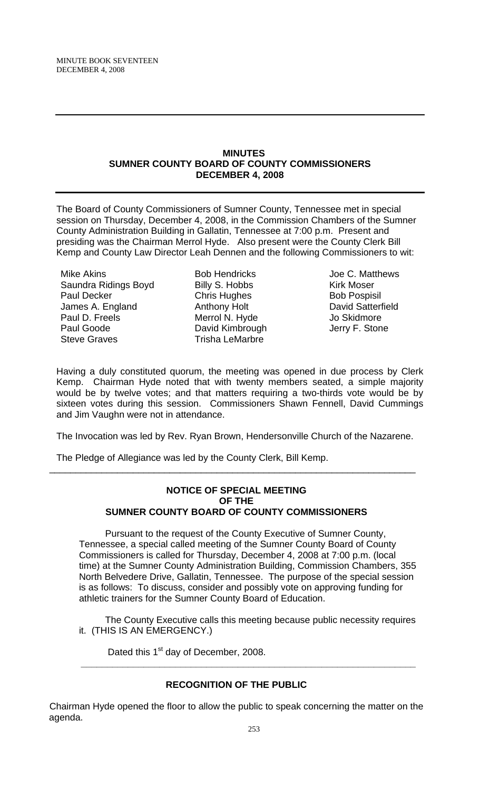### **MINUTES SUMNER COUNTY BOARD OF COUNTY COMMISSIONERS DECEMBER 4, 2008**

The Board of County Commissioners of Sumner County, Tennessee met in special session on Thursday, December 4, 2008, in the Commission Chambers of the Sumner County Administration Building in Gallatin, Tennessee at 7:00 p.m. Present and presiding was the Chairman Merrol Hyde. Also present were the County Clerk Bill Kemp and County Law Director Leah Dennen and the following Commissioners to wit:

Mike Akins Saundra Ridings Boyd Paul Decker James A. England Paul D. Freels Paul Goode Steve Graves

Bob Hendricks Billy S. Hobbs Chris Hughes Anthony Holt Merrol N. Hyde David Kimbrough Trisha LeMarbre

Joe C. Matthews Kirk Moser Bob Pospisil David Satterfield Jo Skidmore Jerry F. Stone

Having a duly constituted quorum, the meeting was opened in due process by Clerk Kemp. Chairman Hyde noted that with twenty members seated, a simple majority would be by twelve votes; and that matters requiring a two-thirds vote would be by sixteen votes during this session. Commissioners Shawn Fennell, David Cummings and Jim Vaughn were not in attendance.

The Invocation was led by Rev. Ryan Brown, Hendersonville Church of the Nazarene.

\_\_\_\_\_\_\_\_\_\_\_\_\_\_\_\_\_\_\_\_\_\_\_\_\_\_\_\_\_\_\_\_\_\_\_\_\_\_\_\_\_\_\_\_\_\_\_\_\_\_\_\_\_\_\_\_\_\_\_\_\_\_\_\_\_\_\_\_\_\_

The Pledge of Allegiance was led by the County Clerk, Bill Kemp.

### **NOTICE OF SPECIAL MEETING OF THE SUMNER COUNTY BOARD OF COUNTY COMMISSIONERS**

Pursuant to the request of the County Executive of Sumner County, Tennessee, a special called meeting of the Sumner County Board of County Commissioners is called for Thursday, December 4, 2008 at 7:00 p.m. (local time) at the Sumner County Administration Building, Commission Chambers, 355 North Belvedere Drive, Gallatin, Tennessee. The purpose of the special session is as follows: To discuss, consider and possibly vote on approving funding for athletic trainers for the Sumner County Board of Education.

 The County Executive calls this meeting because public necessity requires it. (THIS IS AN EMERGENCY.)

**\_\_\_\_\_\_\_\_\_\_\_\_\_\_\_\_\_\_\_\_\_\_\_\_\_\_\_\_\_\_\_\_\_\_\_\_\_\_\_\_\_\_\_\_\_\_\_\_\_\_\_\_\_\_\_\_\_\_\_\_\_\_\_\_** 

Dated this 1<sup>st</sup> day of December, 2008.

## **RECOGNITION OF THE PUBLIC**

Chairman Hyde opened the floor to allow the public to speak concerning the matter on the agenda.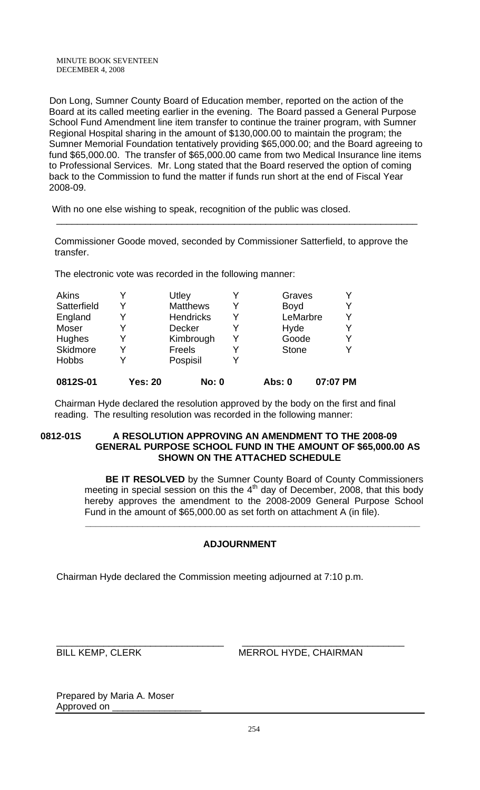Don Long, Sumner County Board of Education member, reported on the action of the Board at its called meeting earlier in the evening. The Board passed a General Purpose School Fund Amendment line item transfer to continue the trainer program, with Sumner Regional Hospital sharing in the amount of \$130,000.00 to maintain the program; the Sumner Memorial Foundation tentatively providing \$65,000.00; and the Board agreeing to fund \$65,000.00. The transfer of \$65,000.00 came from two Medical Insurance line items to Professional Services. Mr. Long stated that the Board reserved the option of coming back to the Commission to fund the matter if funds run short at the end of Fiscal Year 2008-09.

With no one else wishing to speak, recognition of the public was closed.

 Commissioner Goode moved, seconded by Commissioner Satterfield, to approve the transfer.

\_\_\_\_\_\_\_\_\_\_\_\_\_\_\_\_\_\_\_\_\_\_\_\_\_\_\_\_\_\_\_\_\_\_\_\_\_\_\_\_\_\_\_\_\_\_\_\_\_\_\_\_\_\_\_\_\_\_\_\_\_\_\_\_\_\_\_\_\_

The electronic vote was recorded in the following manner:

| <b>Akins</b> |                | Utley            |   | Graves       |          |
|--------------|----------------|------------------|---|--------------|----------|
| Satterfield  | Y              | <b>Matthews</b>  | Y | <b>Boyd</b>  | Y        |
| England      | Y              | <b>Hendricks</b> | Y | LeMarbre     | Υ        |
| Moser        | Y              | <b>Decker</b>    | Y | Hyde         | Y        |
| Hughes       | Y              | Kimbrough        | Y | Goode        | Y        |
| Skidmore     | Y              | Freels           | Y | <b>Stone</b> | Y        |
| <b>Hobbs</b> | Y              | Pospisil         |   |              |          |
| 0812S-01     | <b>Yes: 20</b> | <b>No: 0</b>     |   | Abs: 0       | 07:07 PM |

 Chairman Hyde declared the resolution approved by the body on the first and final reading. The resulting resolution was recorded in the following manner:

### 0812-01S A RESOLUTION APPROVING AN AMENDMENT TO THE 2008-09  **GENERAL PURPOSE SCHOOL FUND IN THE AMOUNT OF \$65,000.00 AS SHOWN ON THE ATTACHED SCHEDULE**

 **BE IT RESOLVED** by the Sumner County Board of County Commissioners meeting in special session on this the 4<sup>th</sup> day of December, 2008, that this body hereby approves the amendment to the 2008-2009 General Purpose School Fund in the amount of \$65,000.00 as set forth on attachment A (in file).

# **ADJOURNMENT**

 **\_\_\_\_\_\_\_\_\_\_\_\_\_\_\_\_\_\_\_\_\_\_\_\_\_\_\_\_\_\_\_\_\_\_\_\_\_\_\_\_\_\_\_\_\_\_\_\_\_\_\_\_\_\_\_\_\_\_\_\_\_\_\_\_** 

Chairman Hyde declared the Commission meeting adjourned at 7:10 p.m.

\_\_\_\_\_\_\_\_\_\_\_\_\_\_\_\_\_\_\_\_\_\_\_\_\_\_\_\_\_\_\_\_ \_\_\_\_\_\_\_\_\_\_\_\_\_\_\_\_\_\_\_\_\_\_\_\_\_\_\_\_\_\_\_ BILL KEMP, CLERK MERROL HYDE, CHAIRMAN

Prepared by Maria A. Moser Approved on